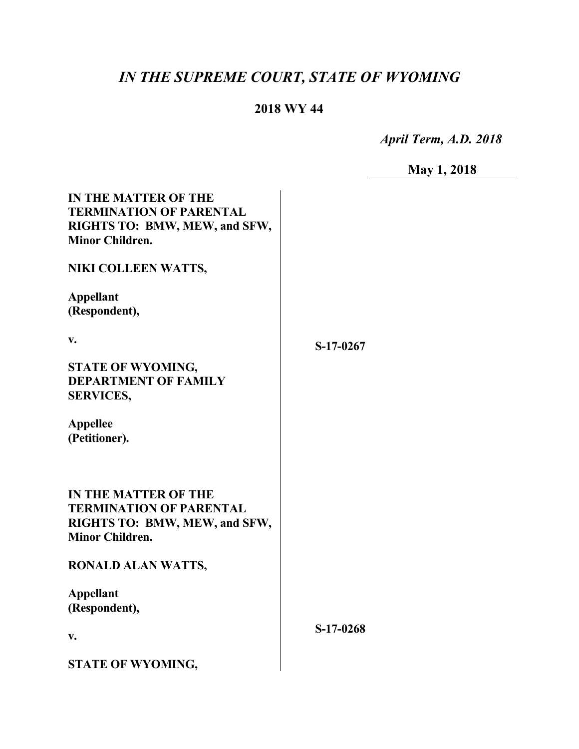# *IN THE SUPREME COURT, STATE OF WYOMING*

## **2018 WY 44**

 *April Term, A.D. 2018*

| IV - | 18<br>Ш |  |
|------|---------|--|
|      |         |  |

 $\overline{a}$ 

| <b>IN THE MATTER OF THE</b><br><b>TERMINATION OF PARENTAL</b><br>RIGHTS TO: BMW, MEW, and SFW,<br><b>Minor Children.</b> |           |
|--------------------------------------------------------------------------------------------------------------------------|-----------|
| NIKI COLLEEN WATTS,                                                                                                      |           |
| <b>Appellant</b><br>(Respondent),                                                                                        |           |
| V.                                                                                                                       | S-17-0267 |
| STATE OF WYOMING,<br><b>DEPARTMENT OF FAMILY</b><br><b>SERVICES,</b>                                                     |           |
| <b>Appellee</b><br>(Petitioner).                                                                                         |           |
| <b>IN THE MATTER OF THE</b><br><b>TERMINATION OF PARENTAL</b><br>RIGHTS TO: BMW, MEW, and SFW,<br><b>Minor Children.</b> |           |
| <b>RONALD ALAN WATTS,</b>                                                                                                |           |
| <b>Appellant</b><br>(Respondent),                                                                                        |           |
| V.                                                                                                                       | S-17-0268 |
| <b>STATE OF WYOMING,</b>                                                                                                 |           |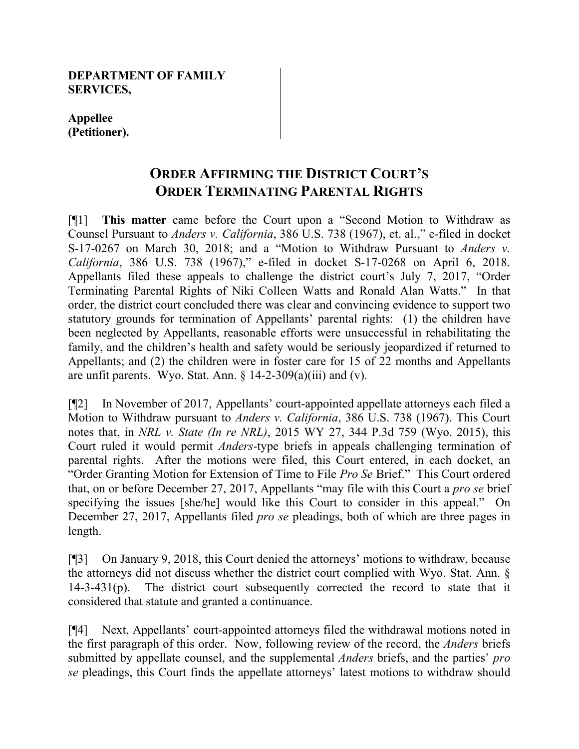#### **DEPARTMENT OF FAMILY SERVICES,**

**Appellee (Petitioner).**

# **ORDER AFFIRMING THE DISTRICT COURT'S ORDER TERMINATING PARENTAL RIGHTS**

[¶1] **This matter** came before the Court upon a "Second Motion to Withdraw as Counsel Pursuant to *Anders v. California*, 386 U.S. 738 (1967), et. al.," e-filed in docket S-17-0267 on March 30, 2018; and a "Motion to Withdraw Pursuant to *Anders v. California*, 386 U.S. 738 (1967)," e-filed in docket S-17-0268 on April 6, 2018. Appellants filed these appeals to challenge the district court's July 7, 2017, "Order Terminating Parental Rights of Niki Colleen Watts and Ronald Alan Watts."In that order, the district court concluded there was clear and convincing evidence to support two statutory grounds for termination of Appellants' parental rights: (1) the children have been neglected by Appellants, reasonable efforts were unsuccessful in rehabilitating the family, and the children's health and safety would be seriously jeopardized if returned to Appellants; and (2) the children were in foster care for 15 of 22 months and Appellants are unfit parents. Wyo. Stat. Ann.  $\S$  14-2-309(a)(iii) and (v).

[¶2] In November of 2017, Appellants' court-appointed appellate attorneys each filed a Motion to Withdraw pursuant to *Anders v. California*, 386 U.S. 738 (1967). This Court notes that, in *NRL v. State (In re NRL)*, 2015 WY 27, 344 P.3d 759 (Wyo. 2015), this Court ruled it would permit *Anders*-type briefs in appeals challenging termination of parental rights. After the motions were filed, this Court entered, in each docket, an "Order Granting Motion for Extension of Time to File *Pro Se* Brief." This Court ordered that, on or before December 27, 2017, Appellants "may file with this Court a *pro se* brief specifying the issues [she/he] would like this Court to consider in this appeal." On December 27, 2017, Appellants filed *pro se* pleadings, both of which are three pages in length.

[¶3] On January 9, 2018, this Court denied the attorneys' motions to withdraw, because the attorneys did not discuss whether the district court complied with Wyo. Stat. Ann. § 14-3-431(p). The district court subsequently corrected the record to state that it considered that statute and granted a continuance.

[¶4] Next, Appellants' court-appointed attorneys filed the withdrawal motions noted in the first paragraph of this order. Now, following review of the record, the *Anders* briefs submitted by appellate counsel, and the supplemental *Anders* briefs, and the parties' *pro se* pleadings, this Court finds the appellate attorneys' latest motions to withdraw should